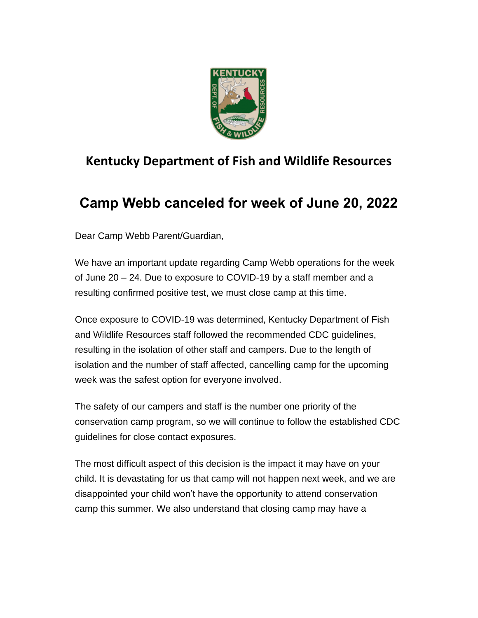

## **Kentucky Department of Fish and Wildlife Resources**

## **Camp Webb canceled for week of June 20, 2022**

Dear Camp Webb Parent/Guardian,

We have an important update regarding Camp Webb operations for the week of June 20 – 24. Due to exposure to COVID-19 by a staff member and a resulting confirmed positive test, we must close camp at this time.

Once exposure to COVID-19 was determined, Kentucky Department of Fish and Wildlife Resources staff followed the recommended CDC guidelines, resulting in the isolation of other staff and campers. Due to the length of isolation and the number of staff affected, cancelling camp for the upcoming week was the safest option for everyone involved.

The safety of our campers and staff is the number one priority of the conservation camp program, so we will continue to follow the established CDC guidelines for close contact exposures.

The most difficult aspect of this decision is the impact it may have on your child. It is devastating for us that camp will not happen next week, and we are disappointed your child won't have the opportunity to attend conservation camp this summer. We also understand that closing camp may have a